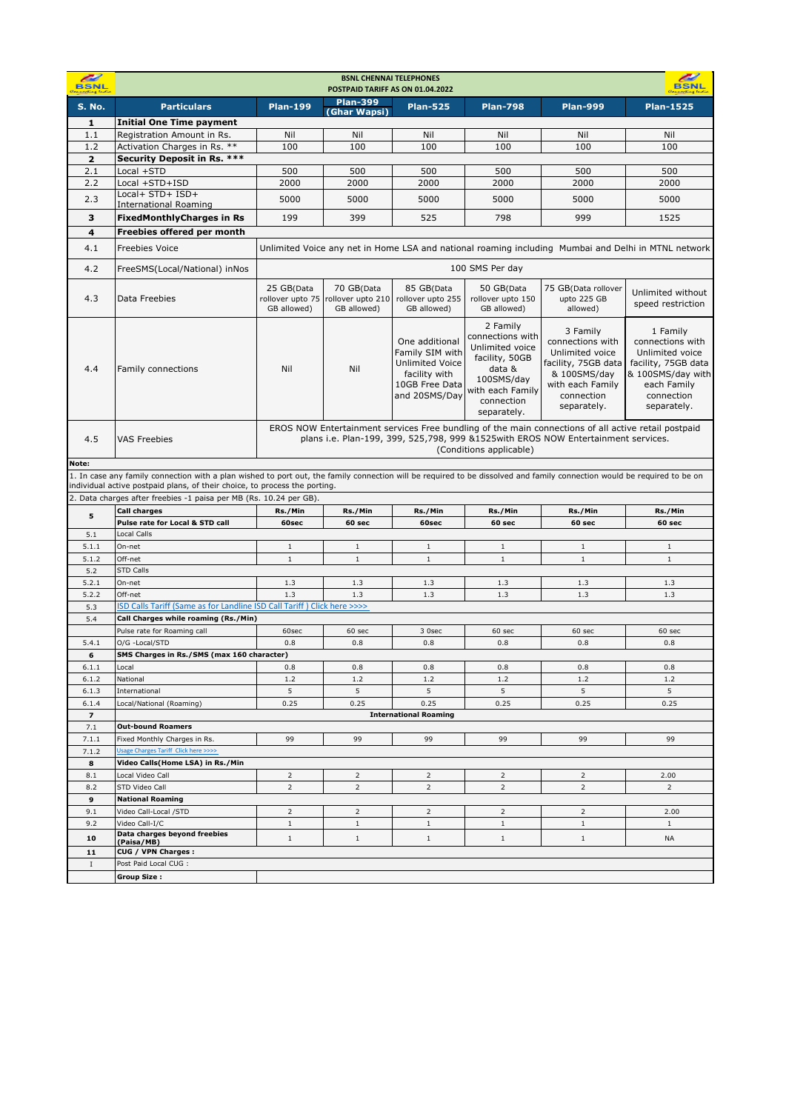| <b>Plan-399</b><br><b>Plan-199</b><br><b>Plan-798</b><br><b>Plan-999</b><br><b>Plan-1525</b><br><b>Particulars</b><br><b>Plan-525</b><br><b>S. No.</b><br>(Ghar Wapsi)<br><b>Initial One Time payment</b><br>1<br>Registration Amount in Rs.<br>1.1<br>Nil<br>Nil<br>Nil<br>Nil<br>Nil<br>Nil<br>Activation Charges in Rs. **<br>1.2<br>100<br>100<br>100<br>100<br>100<br>100<br>Security Deposit in Rs. ***<br>$\overline{2}$<br>2.1<br>Local +STD<br>500<br>500<br>500<br>500<br>500<br>500<br>2.2<br>Local +STD+ISD<br>2000<br>2000<br>2000<br>2000<br>2000<br>2000<br>Local+ STD+ ISD+<br>2.3<br>5000<br>5000<br>5000<br>5000<br>5000<br>5000<br><b>International Roaming</b><br><b>FixedMonthlyCharges in Rs</b><br>3<br>199<br>399<br>525<br>798<br>999<br>1525<br>Freebies offered per month<br>4<br>4.1<br>Unlimited Voice any net in Home LSA and national roaming including Mumbai and Delhi in MTNL network<br><b>Freebies Voice</b><br>4.2<br>100 SMS Per day<br>FreeSMS(Local/National) inNos<br>25 GB(Data<br>70 GB(Data<br>85 GB(Data<br>50 GB(Data<br>75 GB(Data rollover<br>Unlimited without<br>4.3<br>Data Freebies<br>rollover upto 75<br>rollover upto 210<br>rollover upto 255<br>rollover upto 150<br>upto 225 GB<br>speed restriction<br>GB allowed)<br>GB allowed)<br>GB allowed)<br>GB allowed)<br>allowed)<br>2 Family<br>3 Family<br>1 Family<br>connections with<br>connections with<br>connections with<br>One additional<br>Unlimited voice<br>Family SIM with<br>Unlimited voice<br>Unlimited voice<br>facility, 50GB<br><b>Unlimited Voice</b><br>facility, 75GB data<br>facility, 75GB data<br>Nil<br>Nil<br>4.4<br>Family connections<br>data &<br>facility with<br>& 100SMS/day<br>100SMS/day<br>10GB Free Data<br>with each Family<br>each Family<br>with each Family<br>and 20SMS/Day<br>connection<br>connection<br>connection<br>separately.<br>separately.<br>separately.<br>EROS NOW Entertainment services Free bundling of the main connections of all active retail postpaid<br>plans i.e. Plan-199, 399, 525,798, 999 &1525with EROS NOW Entertainment services.<br>4.5<br><b>VAS Freebies</b><br>(Conditions applicable)<br>Note:<br>1. In case any family connection with a plan wished to port out, the family connection will be required to be dissolved and family connection would be required to be on<br>individual active postpaid plans, of their choice, to process the porting.<br>2. Data charges after freebies -1 paisa per MB (Rs. 10.24 per GB)<br>Rs./Min<br><b>Call charges</b><br>Rs./Min<br>Rs./Min<br>Rs./Min<br>Rs./Min<br>Rs./Min<br>5<br>Pulse rate for Local & STD call<br>60sec<br>60 sec<br>60sec<br>60 sec<br>60 sec<br>60 sec<br><b>Local Calls</b><br>5.1<br>5.1.1<br>On-net<br>$1\,$<br>$1\,$<br>$1\,$<br>$\,1\,$<br>$\,1\,$<br>$\mathbf{1}$<br>Off-net<br>$\,1\,$<br>$\,1\,$<br>$\,1\,$<br>$1\,$<br>5.1.2<br>$\,1\,$<br>$1\,$<br>5.2<br><b>STD Calls</b><br>5.2.1<br>On-net<br>1.3<br>1.3<br>1.3<br>1.3<br>1.3<br>1.3<br>5.2.2<br>1.3<br>1.3<br>Off-net<br>1.3<br>1.3<br>1.3<br>1.3<br>ISD Calls Tariff (Same as for Landline ISD Call Tariff) Click here >>>><br>5.3<br>Call Charges while roaming (Rs./Min)<br>5.4<br>Pulse rate for Roaming call<br>60sec<br>60 sec<br>3 Osec<br>60 sec<br>60 sec<br>60 sec<br>O/G -Local/STD<br>0.8<br>0.8<br>0.8<br>5.4.1<br>0.8<br>0.8<br>0.8<br>SMS Charges in Rs./SMS (max 160 character)<br>6<br>6.1.1<br>Local<br>0.8<br>0.8<br>0.8<br>0.8<br>0.8<br>0.8<br>6.1.2<br>National<br>1.2<br>1.2<br>1.2<br>1.2<br>1.2<br>1.2<br>5<br>6.1.3<br>5<br>5<br>5<br>5<br>5<br>International<br>0.25<br>0.25<br>0.25<br>0.25<br>0.25<br>0.25<br>6.1.4<br>Local/National (Roaming)<br><b>International Roaming</b><br>$\overline{\phantom{a}}$<br><b>Out-bound Roamers</b><br>7.1<br>7.1.1<br>99<br>99<br>99<br>99<br>Fixed Monthly Charges in Rs.<br>99<br>99<br>Usage Charges Tariff Click here >>>><br>7.1.2<br>Video Calls(Home LSA) in Rs./Min<br>8<br>8.1<br>$\overline{2}$<br>Local Video Call<br>$\overline{2}$<br>$\overline{2}$<br>$\overline{2}$<br>$\overline{2}$<br>2.00<br>8.2<br>STD Video Call<br>$\overline{2}$<br>$\overline{2}$<br>$\overline{2}$<br>$\overline{2}$<br>$\overline{2}$<br>2<br><b>National Roaming</b><br>9<br>Video Call-Local / STD<br>$\overline{2}$<br>$\overline{2}$<br>$\overline{2}$<br>$\overline{2}$<br>9.1<br>2<br>2.00<br>$1\,$<br>$1\,$<br>9.2<br>Video Call-I/C<br>$1\,$<br>$\mathbf{1}$<br>$\mathbf{1}$<br>$\mathbf{1}$<br>Data charges beyond freebies<br>10<br>$1\,$<br>$\mathbf{1}$<br>$\,1$<br><b>NA</b><br>$\mathbf{1}$<br>$\mathbf{1}$<br>(Paisa/MB)<br>CUG / VPN Charges :<br>11<br>Post Paid Local CUG :<br>$\bf{I}$ | æ<br><b>BSNL</b> | <b>BSNL CHENNAI TELEPHONES</b><br><b>RSNI</b><br>POSTPAID TARIFF AS ON 01.04.2022 |  |  |  |  |  |                   |  |  |  |
|-------------------------------------------------------------------------------------------------------------------------------------------------------------------------------------------------------------------------------------------------------------------------------------------------------------------------------------------------------------------------------------------------------------------------------------------------------------------------------------------------------------------------------------------------------------------------------------------------------------------------------------------------------------------------------------------------------------------------------------------------------------------------------------------------------------------------------------------------------------------------------------------------------------------------------------------------------------------------------------------------------------------------------------------------------------------------------------------------------------------------------------------------------------------------------------------------------------------------------------------------------------------------------------------------------------------------------------------------------------------------------------------------------------------------------------------------------------------------------------------------------------------------------------------------------------------------------------------------------------------------------------------------------------------------------------------------------------------------------------------------------------------------------------------------------------------------------------------------------------------------------------------------------------------------------------------------------------------------------------------------------------------------------------------------------------------------------------------------------------------------------------------------------------------------------------------------------------------------------------------------------------------------------------------------------------------------------------------------------------------------------------------------------------------------------------------------------------------------------------------------------------------------------------------------------------------------------------------------------------------------------------------------------------------------------------------------------------------------------------------------------------------------------------------------------------------------------------------------------------------------------------------------------------------------------------------------------------------------------------------------------------------------------------------------------------------------------------------------------------------------------------------------------------------------------------------------------------------------------------------------------------------------------------------------------------------------------------------------------------------------------------------------------------------------------------------------------------------------------------------------------------------------------------------------------------------------------------------------------------------------------------------------------------------------------------------------------------------------------------------------------------------------------------------------------------------------------------------------------------------------------------------------------------------------------------------------------------------------------------------------------------------------------------------------------------------------------------------------------------------------------------------------------------------------------------------------------------------------------------------------------------------------------------------------------------------------------------------------------------------------------------------------------------------------------------------------------------------------------------------------------------------------------------------------------------------------------------------------------------------------------------------------------------------------------------------|------------------|-----------------------------------------------------------------------------------|--|--|--|--|--|-------------------|--|--|--|
|                                                                                                                                                                                                                                                                                                                                                                                                                                                                                                                                                                                                                                                                                                                                                                                                                                                                                                                                                                                                                                                                                                                                                                                                                                                                                                                                                                                                                                                                                                                                                                                                                                                                                                                                                                                                                                                                                                                                                                                                                                                                                                                                                                                                                                                                                                                                                                                                                                                                                                                                                                                                                                                                                                                                                                                                                                                                                                                                                                                                                                                                                                                                                                                                                                                                                                                                                                                                                                                                                                                                                                                                                                                                                                                                                                                                                                                                                                                                                                                                                                                                                                                                                                                                                                                                                                                                                                                                                                                                                                                                                                                                                                                                                           |                  |                                                                                   |  |  |  |  |  |                   |  |  |  |
|                                                                                                                                                                                                                                                                                                                                                                                                                                                                                                                                                                                                                                                                                                                                                                                                                                                                                                                                                                                                                                                                                                                                                                                                                                                                                                                                                                                                                                                                                                                                                                                                                                                                                                                                                                                                                                                                                                                                                                                                                                                                                                                                                                                                                                                                                                                                                                                                                                                                                                                                                                                                                                                                                                                                                                                                                                                                                                                                                                                                                                                                                                                                                                                                                                                                                                                                                                                                                                                                                                                                                                                                                                                                                                                                                                                                                                                                                                                                                                                                                                                                                                                                                                                                                                                                                                                                                                                                                                                                                                                                                                                                                                                                                           |                  |                                                                                   |  |  |  |  |  |                   |  |  |  |
|                                                                                                                                                                                                                                                                                                                                                                                                                                                                                                                                                                                                                                                                                                                                                                                                                                                                                                                                                                                                                                                                                                                                                                                                                                                                                                                                                                                                                                                                                                                                                                                                                                                                                                                                                                                                                                                                                                                                                                                                                                                                                                                                                                                                                                                                                                                                                                                                                                                                                                                                                                                                                                                                                                                                                                                                                                                                                                                                                                                                                                                                                                                                                                                                                                                                                                                                                                                                                                                                                                                                                                                                                                                                                                                                                                                                                                                                                                                                                                                                                                                                                                                                                                                                                                                                                                                                                                                                                                                                                                                                                                                                                                                                                           |                  |                                                                                   |  |  |  |  |  |                   |  |  |  |
|                                                                                                                                                                                                                                                                                                                                                                                                                                                                                                                                                                                                                                                                                                                                                                                                                                                                                                                                                                                                                                                                                                                                                                                                                                                                                                                                                                                                                                                                                                                                                                                                                                                                                                                                                                                                                                                                                                                                                                                                                                                                                                                                                                                                                                                                                                                                                                                                                                                                                                                                                                                                                                                                                                                                                                                                                                                                                                                                                                                                                                                                                                                                                                                                                                                                                                                                                                                                                                                                                                                                                                                                                                                                                                                                                                                                                                                                                                                                                                                                                                                                                                                                                                                                                                                                                                                                                                                                                                                                                                                                                                                                                                                                                           |                  |                                                                                   |  |  |  |  |  |                   |  |  |  |
|                                                                                                                                                                                                                                                                                                                                                                                                                                                                                                                                                                                                                                                                                                                                                                                                                                                                                                                                                                                                                                                                                                                                                                                                                                                                                                                                                                                                                                                                                                                                                                                                                                                                                                                                                                                                                                                                                                                                                                                                                                                                                                                                                                                                                                                                                                                                                                                                                                                                                                                                                                                                                                                                                                                                                                                                                                                                                                                                                                                                                                                                                                                                                                                                                                                                                                                                                                                                                                                                                                                                                                                                                                                                                                                                                                                                                                                                                                                                                                                                                                                                                                                                                                                                                                                                                                                                                                                                                                                                                                                                                                                                                                                                                           |                  |                                                                                   |  |  |  |  |  |                   |  |  |  |
|                                                                                                                                                                                                                                                                                                                                                                                                                                                                                                                                                                                                                                                                                                                                                                                                                                                                                                                                                                                                                                                                                                                                                                                                                                                                                                                                                                                                                                                                                                                                                                                                                                                                                                                                                                                                                                                                                                                                                                                                                                                                                                                                                                                                                                                                                                                                                                                                                                                                                                                                                                                                                                                                                                                                                                                                                                                                                                                                                                                                                                                                                                                                                                                                                                                                                                                                                                                                                                                                                                                                                                                                                                                                                                                                                                                                                                                                                                                                                                                                                                                                                                                                                                                                                                                                                                                                                                                                                                                                                                                                                                                                                                                                                           |                  |                                                                                   |  |  |  |  |  |                   |  |  |  |
|                                                                                                                                                                                                                                                                                                                                                                                                                                                                                                                                                                                                                                                                                                                                                                                                                                                                                                                                                                                                                                                                                                                                                                                                                                                                                                                                                                                                                                                                                                                                                                                                                                                                                                                                                                                                                                                                                                                                                                                                                                                                                                                                                                                                                                                                                                                                                                                                                                                                                                                                                                                                                                                                                                                                                                                                                                                                                                                                                                                                                                                                                                                                                                                                                                                                                                                                                                                                                                                                                                                                                                                                                                                                                                                                                                                                                                                                                                                                                                                                                                                                                                                                                                                                                                                                                                                                                                                                                                                                                                                                                                                                                                                                                           |                  |                                                                                   |  |  |  |  |  |                   |  |  |  |
|                                                                                                                                                                                                                                                                                                                                                                                                                                                                                                                                                                                                                                                                                                                                                                                                                                                                                                                                                                                                                                                                                                                                                                                                                                                                                                                                                                                                                                                                                                                                                                                                                                                                                                                                                                                                                                                                                                                                                                                                                                                                                                                                                                                                                                                                                                                                                                                                                                                                                                                                                                                                                                                                                                                                                                                                                                                                                                                                                                                                                                                                                                                                                                                                                                                                                                                                                                                                                                                                                                                                                                                                                                                                                                                                                                                                                                                                                                                                                                                                                                                                                                                                                                                                                                                                                                                                                                                                                                                                                                                                                                                                                                                                                           |                  |                                                                                   |  |  |  |  |  |                   |  |  |  |
|                                                                                                                                                                                                                                                                                                                                                                                                                                                                                                                                                                                                                                                                                                                                                                                                                                                                                                                                                                                                                                                                                                                                                                                                                                                                                                                                                                                                                                                                                                                                                                                                                                                                                                                                                                                                                                                                                                                                                                                                                                                                                                                                                                                                                                                                                                                                                                                                                                                                                                                                                                                                                                                                                                                                                                                                                                                                                                                                                                                                                                                                                                                                                                                                                                                                                                                                                                                                                                                                                                                                                                                                                                                                                                                                                                                                                                                                                                                                                                                                                                                                                                                                                                                                                                                                                                                                                                                                                                                                                                                                                                                                                                                                                           |                  |                                                                                   |  |  |  |  |  |                   |  |  |  |
|                                                                                                                                                                                                                                                                                                                                                                                                                                                                                                                                                                                                                                                                                                                                                                                                                                                                                                                                                                                                                                                                                                                                                                                                                                                                                                                                                                                                                                                                                                                                                                                                                                                                                                                                                                                                                                                                                                                                                                                                                                                                                                                                                                                                                                                                                                                                                                                                                                                                                                                                                                                                                                                                                                                                                                                                                                                                                                                                                                                                                                                                                                                                                                                                                                                                                                                                                                                                                                                                                                                                                                                                                                                                                                                                                                                                                                                                                                                                                                                                                                                                                                                                                                                                                                                                                                                                                                                                                                                                                                                                                                                                                                                                                           |                  |                                                                                   |  |  |  |  |  |                   |  |  |  |
|                                                                                                                                                                                                                                                                                                                                                                                                                                                                                                                                                                                                                                                                                                                                                                                                                                                                                                                                                                                                                                                                                                                                                                                                                                                                                                                                                                                                                                                                                                                                                                                                                                                                                                                                                                                                                                                                                                                                                                                                                                                                                                                                                                                                                                                                                                                                                                                                                                                                                                                                                                                                                                                                                                                                                                                                                                                                                                                                                                                                                                                                                                                                                                                                                                                                                                                                                                                                                                                                                                                                                                                                                                                                                                                                                                                                                                                                                                                                                                                                                                                                                                                                                                                                                                                                                                                                                                                                                                                                                                                                                                                                                                                                                           |                  |                                                                                   |  |  |  |  |  |                   |  |  |  |
|                                                                                                                                                                                                                                                                                                                                                                                                                                                                                                                                                                                                                                                                                                                                                                                                                                                                                                                                                                                                                                                                                                                                                                                                                                                                                                                                                                                                                                                                                                                                                                                                                                                                                                                                                                                                                                                                                                                                                                                                                                                                                                                                                                                                                                                                                                                                                                                                                                                                                                                                                                                                                                                                                                                                                                                                                                                                                                                                                                                                                                                                                                                                                                                                                                                                                                                                                                                                                                                                                                                                                                                                                                                                                                                                                                                                                                                                                                                                                                                                                                                                                                                                                                                                                                                                                                                                                                                                                                                                                                                                                                                                                                                                                           |                  |                                                                                   |  |  |  |  |  |                   |  |  |  |
|                                                                                                                                                                                                                                                                                                                                                                                                                                                                                                                                                                                                                                                                                                                                                                                                                                                                                                                                                                                                                                                                                                                                                                                                                                                                                                                                                                                                                                                                                                                                                                                                                                                                                                                                                                                                                                                                                                                                                                                                                                                                                                                                                                                                                                                                                                                                                                                                                                                                                                                                                                                                                                                                                                                                                                                                                                                                                                                                                                                                                                                                                                                                                                                                                                                                                                                                                                                                                                                                                                                                                                                                                                                                                                                                                                                                                                                                                                                                                                                                                                                                                                                                                                                                                                                                                                                                                                                                                                                                                                                                                                                                                                                                                           |                  |                                                                                   |  |  |  |  |  |                   |  |  |  |
|                                                                                                                                                                                                                                                                                                                                                                                                                                                                                                                                                                                                                                                                                                                                                                                                                                                                                                                                                                                                                                                                                                                                                                                                                                                                                                                                                                                                                                                                                                                                                                                                                                                                                                                                                                                                                                                                                                                                                                                                                                                                                                                                                                                                                                                                                                                                                                                                                                                                                                                                                                                                                                                                                                                                                                                                                                                                                                                                                                                                                                                                                                                                                                                                                                                                                                                                                                                                                                                                                                                                                                                                                                                                                                                                                                                                                                                                                                                                                                                                                                                                                                                                                                                                                                                                                                                                                                                                                                                                                                                                                                                                                                                                                           |                  |                                                                                   |  |  |  |  |  | & 100SMS/day with |  |  |  |
|                                                                                                                                                                                                                                                                                                                                                                                                                                                                                                                                                                                                                                                                                                                                                                                                                                                                                                                                                                                                                                                                                                                                                                                                                                                                                                                                                                                                                                                                                                                                                                                                                                                                                                                                                                                                                                                                                                                                                                                                                                                                                                                                                                                                                                                                                                                                                                                                                                                                                                                                                                                                                                                                                                                                                                                                                                                                                                                                                                                                                                                                                                                                                                                                                                                                                                                                                                                                                                                                                                                                                                                                                                                                                                                                                                                                                                                                                                                                                                                                                                                                                                                                                                                                                                                                                                                                                                                                                                                                                                                                                                                                                                                                                           |                  |                                                                                   |  |  |  |  |  |                   |  |  |  |
|                                                                                                                                                                                                                                                                                                                                                                                                                                                                                                                                                                                                                                                                                                                                                                                                                                                                                                                                                                                                                                                                                                                                                                                                                                                                                                                                                                                                                                                                                                                                                                                                                                                                                                                                                                                                                                                                                                                                                                                                                                                                                                                                                                                                                                                                                                                                                                                                                                                                                                                                                                                                                                                                                                                                                                                                                                                                                                                                                                                                                                                                                                                                                                                                                                                                                                                                                                                                                                                                                                                                                                                                                                                                                                                                                                                                                                                                                                                                                                                                                                                                                                                                                                                                                                                                                                                                                                                                                                                                                                                                                                                                                                                                                           |                  |                                                                                   |  |  |  |  |  |                   |  |  |  |
|                                                                                                                                                                                                                                                                                                                                                                                                                                                                                                                                                                                                                                                                                                                                                                                                                                                                                                                                                                                                                                                                                                                                                                                                                                                                                                                                                                                                                                                                                                                                                                                                                                                                                                                                                                                                                                                                                                                                                                                                                                                                                                                                                                                                                                                                                                                                                                                                                                                                                                                                                                                                                                                                                                                                                                                                                                                                                                                                                                                                                                                                                                                                                                                                                                                                                                                                                                                                                                                                                                                                                                                                                                                                                                                                                                                                                                                                                                                                                                                                                                                                                                                                                                                                                                                                                                                                                                                                                                                                                                                                                                                                                                                                                           |                  |                                                                                   |  |  |  |  |  |                   |  |  |  |
|                                                                                                                                                                                                                                                                                                                                                                                                                                                                                                                                                                                                                                                                                                                                                                                                                                                                                                                                                                                                                                                                                                                                                                                                                                                                                                                                                                                                                                                                                                                                                                                                                                                                                                                                                                                                                                                                                                                                                                                                                                                                                                                                                                                                                                                                                                                                                                                                                                                                                                                                                                                                                                                                                                                                                                                                                                                                                                                                                                                                                                                                                                                                                                                                                                                                                                                                                                                                                                                                                                                                                                                                                                                                                                                                                                                                                                                                                                                                                                                                                                                                                                                                                                                                                                                                                                                                                                                                                                                                                                                                                                                                                                                                                           |                  |                                                                                   |  |  |  |  |  |                   |  |  |  |
|                                                                                                                                                                                                                                                                                                                                                                                                                                                                                                                                                                                                                                                                                                                                                                                                                                                                                                                                                                                                                                                                                                                                                                                                                                                                                                                                                                                                                                                                                                                                                                                                                                                                                                                                                                                                                                                                                                                                                                                                                                                                                                                                                                                                                                                                                                                                                                                                                                                                                                                                                                                                                                                                                                                                                                                                                                                                                                                                                                                                                                                                                                                                                                                                                                                                                                                                                                                                                                                                                                                                                                                                                                                                                                                                                                                                                                                                                                                                                                                                                                                                                                                                                                                                                                                                                                                                                                                                                                                                                                                                                                                                                                                                                           |                  |                                                                                   |  |  |  |  |  |                   |  |  |  |
|                                                                                                                                                                                                                                                                                                                                                                                                                                                                                                                                                                                                                                                                                                                                                                                                                                                                                                                                                                                                                                                                                                                                                                                                                                                                                                                                                                                                                                                                                                                                                                                                                                                                                                                                                                                                                                                                                                                                                                                                                                                                                                                                                                                                                                                                                                                                                                                                                                                                                                                                                                                                                                                                                                                                                                                                                                                                                                                                                                                                                                                                                                                                                                                                                                                                                                                                                                                                                                                                                                                                                                                                                                                                                                                                                                                                                                                                                                                                                                                                                                                                                                                                                                                                                                                                                                                                                                                                                                                                                                                                                                                                                                                                                           |                  |                                                                                   |  |  |  |  |  |                   |  |  |  |
|                                                                                                                                                                                                                                                                                                                                                                                                                                                                                                                                                                                                                                                                                                                                                                                                                                                                                                                                                                                                                                                                                                                                                                                                                                                                                                                                                                                                                                                                                                                                                                                                                                                                                                                                                                                                                                                                                                                                                                                                                                                                                                                                                                                                                                                                                                                                                                                                                                                                                                                                                                                                                                                                                                                                                                                                                                                                                                                                                                                                                                                                                                                                                                                                                                                                                                                                                                                                                                                                                                                                                                                                                                                                                                                                                                                                                                                                                                                                                                                                                                                                                                                                                                                                                                                                                                                                                                                                                                                                                                                                                                                                                                                                                           |                  |                                                                                   |  |  |  |  |  |                   |  |  |  |
|                                                                                                                                                                                                                                                                                                                                                                                                                                                                                                                                                                                                                                                                                                                                                                                                                                                                                                                                                                                                                                                                                                                                                                                                                                                                                                                                                                                                                                                                                                                                                                                                                                                                                                                                                                                                                                                                                                                                                                                                                                                                                                                                                                                                                                                                                                                                                                                                                                                                                                                                                                                                                                                                                                                                                                                                                                                                                                                                                                                                                                                                                                                                                                                                                                                                                                                                                                                                                                                                                                                                                                                                                                                                                                                                                                                                                                                                                                                                                                                                                                                                                                                                                                                                                                                                                                                                                                                                                                                                                                                                                                                                                                                                                           |                  |                                                                                   |  |  |  |  |  |                   |  |  |  |
|                                                                                                                                                                                                                                                                                                                                                                                                                                                                                                                                                                                                                                                                                                                                                                                                                                                                                                                                                                                                                                                                                                                                                                                                                                                                                                                                                                                                                                                                                                                                                                                                                                                                                                                                                                                                                                                                                                                                                                                                                                                                                                                                                                                                                                                                                                                                                                                                                                                                                                                                                                                                                                                                                                                                                                                                                                                                                                                                                                                                                                                                                                                                                                                                                                                                                                                                                                                                                                                                                                                                                                                                                                                                                                                                                                                                                                                                                                                                                                                                                                                                                                                                                                                                                                                                                                                                                                                                                                                                                                                                                                                                                                                                                           |                  |                                                                                   |  |  |  |  |  |                   |  |  |  |
|                                                                                                                                                                                                                                                                                                                                                                                                                                                                                                                                                                                                                                                                                                                                                                                                                                                                                                                                                                                                                                                                                                                                                                                                                                                                                                                                                                                                                                                                                                                                                                                                                                                                                                                                                                                                                                                                                                                                                                                                                                                                                                                                                                                                                                                                                                                                                                                                                                                                                                                                                                                                                                                                                                                                                                                                                                                                                                                                                                                                                                                                                                                                                                                                                                                                                                                                                                                                                                                                                                                                                                                                                                                                                                                                                                                                                                                                                                                                                                                                                                                                                                                                                                                                                                                                                                                                                                                                                                                                                                                                                                                                                                                                                           |                  |                                                                                   |  |  |  |  |  |                   |  |  |  |
|                                                                                                                                                                                                                                                                                                                                                                                                                                                                                                                                                                                                                                                                                                                                                                                                                                                                                                                                                                                                                                                                                                                                                                                                                                                                                                                                                                                                                                                                                                                                                                                                                                                                                                                                                                                                                                                                                                                                                                                                                                                                                                                                                                                                                                                                                                                                                                                                                                                                                                                                                                                                                                                                                                                                                                                                                                                                                                                                                                                                                                                                                                                                                                                                                                                                                                                                                                                                                                                                                                                                                                                                                                                                                                                                                                                                                                                                                                                                                                                                                                                                                                                                                                                                                                                                                                                                                                                                                                                                                                                                                                                                                                                                                           |                  |                                                                                   |  |  |  |  |  |                   |  |  |  |
|                                                                                                                                                                                                                                                                                                                                                                                                                                                                                                                                                                                                                                                                                                                                                                                                                                                                                                                                                                                                                                                                                                                                                                                                                                                                                                                                                                                                                                                                                                                                                                                                                                                                                                                                                                                                                                                                                                                                                                                                                                                                                                                                                                                                                                                                                                                                                                                                                                                                                                                                                                                                                                                                                                                                                                                                                                                                                                                                                                                                                                                                                                                                                                                                                                                                                                                                                                                                                                                                                                                                                                                                                                                                                                                                                                                                                                                                                                                                                                                                                                                                                                                                                                                                                                                                                                                                                                                                                                                                                                                                                                                                                                                                                           |                  |                                                                                   |  |  |  |  |  |                   |  |  |  |
|                                                                                                                                                                                                                                                                                                                                                                                                                                                                                                                                                                                                                                                                                                                                                                                                                                                                                                                                                                                                                                                                                                                                                                                                                                                                                                                                                                                                                                                                                                                                                                                                                                                                                                                                                                                                                                                                                                                                                                                                                                                                                                                                                                                                                                                                                                                                                                                                                                                                                                                                                                                                                                                                                                                                                                                                                                                                                                                                                                                                                                                                                                                                                                                                                                                                                                                                                                                                                                                                                                                                                                                                                                                                                                                                                                                                                                                                                                                                                                                                                                                                                                                                                                                                                                                                                                                                                                                                                                                                                                                                                                                                                                                                                           |                  |                                                                                   |  |  |  |  |  |                   |  |  |  |
|                                                                                                                                                                                                                                                                                                                                                                                                                                                                                                                                                                                                                                                                                                                                                                                                                                                                                                                                                                                                                                                                                                                                                                                                                                                                                                                                                                                                                                                                                                                                                                                                                                                                                                                                                                                                                                                                                                                                                                                                                                                                                                                                                                                                                                                                                                                                                                                                                                                                                                                                                                                                                                                                                                                                                                                                                                                                                                                                                                                                                                                                                                                                                                                                                                                                                                                                                                                                                                                                                                                                                                                                                                                                                                                                                                                                                                                                                                                                                                                                                                                                                                                                                                                                                                                                                                                                                                                                                                                                                                                                                                                                                                                                                           |                  |                                                                                   |  |  |  |  |  |                   |  |  |  |
|                                                                                                                                                                                                                                                                                                                                                                                                                                                                                                                                                                                                                                                                                                                                                                                                                                                                                                                                                                                                                                                                                                                                                                                                                                                                                                                                                                                                                                                                                                                                                                                                                                                                                                                                                                                                                                                                                                                                                                                                                                                                                                                                                                                                                                                                                                                                                                                                                                                                                                                                                                                                                                                                                                                                                                                                                                                                                                                                                                                                                                                                                                                                                                                                                                                                                                                                                                                                                                                                                                                                                                                                                                                                                                                                                                                                                                                                                                                                                                                                                                                                                                                                                                                                                                                                                                                                                                                                                                                                                                                                                                                                                                                                                           |                  |                                                                                   |  |  |  |  |  |                   |  |  |  |
|                                                                                                                                                                                                                                                                                                                                                                                                                                                                                                                                                                                                                                                                                                                                                                                                                                                                                                                                                                                                                                                                                                                                                                                                                                                                                                                                                                                                                                                                                                                                                                                                                                                                                                                                                                                                                                                                                                                                                                                                                                                                                                                                                                                                                                                                                                                                                                                                                                                                                                                                                                                                                                                                                                                                                                                                                                                                                                                                                                                                                                                                                                                                                                                                                                                                                                                                                                                                                                                                                                                                                                                                                                                                                                                                                                                                                                                                                                                                                                                                                                                                                                                                                                                                                                                                                                                                                                                                                                                                                                                                                                                                                                                                                           |                  |                                                                                   |  |  |  |  |  |                   |  |  |  |
|                                                                                                                                                                                                                                                                                                                                                                                                                                                                                                                                                                                                                                                                                                                                                                                                                                                                                                                                                                                                                                                                                                                                                                                                                                                                                                                                                                                                                                                                                                                                                                                                                                                                                                                                                                                                                                                                                                                                                                                                                                                                                                                                                                                                                                                                                                                                                                                                                                                                                                                                                                                                                                                                                                                                                                                                                                                                                                                                                                                                                                                                                                                                                                                                                                                                                                                                                                                                                                                                                                                                                                                                                                                                                                                                                                                                                                                                                                                                                                                                                                                                                                                                                                                                                                                                                                                                                                                                                                                                                                                                                                                                                                                                                           |                  |                                                                                   |  |  |  |  |  |                   |  |  |  |
|                                                                                                                                                                                                                                                                                                                                                                                                                                                                                                                                                                                                                                                                                                                                                                                                                                                                                                                                                                                                                                                                                                                                                                                                                                                                                                                                                                                                                                                                                                                                                                                                                                                                                                                                                                                                                                                                                                                                                                                                                                                                                                                                                                                                                                                                                                                                                                                                                                                                                                                                                                                                                                                                                                                                                                                                                                                                                                                                                                                                                                                                                                                                                                                                                                                                                                                                                                                                                                                                                                                                                                                                                                                                                                                                                                                                                                                                                                                                                                                                                                                                                                                                                                                                                                                                                                                                                                                                                                                                                                                                                                                                                                                                                           |                  |                                                                                   |  |  |  |  |  |                   |  |  |  |
|                                                                                                                                                                                                                                                                                                                                                                                                                                                                                                                                                                                                                                                                                                                                                                                                                                                                                                                                                                                                                                                                                                                                                                                                                                                                                                                                                                                                                                                                                                                                                                                                                                                                                                                                                                                                                                                                                                                                                                                                                                                                                                                                                                                                                                                                                                                                                                                                                                                                                                                                                                                                                                                                                                                                                                                                                                                                                                                                                                                                                                                                                                                                                                                                                                                                                                                                                                                                                                                                                                                                                                                                                                                                                                                                                                                                                                                                                                                                                                                                                                                                                                                                                                                                                                                                                                                                                                                                                                                                                                                                                                                                                                                                                           |                  |                                                                                   |  |  |  |  |  |                   |  |  |  |
|                                                                                                                                                                                                                                                                                                                                                                                                                                                                                                                                                                                                                                                                                                                                                                                                                                                                                                                                                                                                                                                                                                                                                                                                                                                                                                                                                                                                                                                                                                                                                                                                                                                                                                                                                                                                                                                                                                                                                                                                                                                                                                                                                                                                                                                                                                                                                                                                                                                                                                                                                                                                                                                                                                                                                                                                                                                                                                                                                                                                                                                                                                                                                                                                                                                                                                                                                                                                                                                                                                                                                                                                                                                                                                                                                                                                                                                                                                                                                                                                                                                                                                                                                                                                                                                                                                                                                                                                                                                                                                                                                                                                                                                                                           |                  |                                                                                   |  |  |  |  |  |                   |  |  |  |
|                                                                                                                                                                                                                                                                                                                                                                                                                                                                                                                                                                                                                                                                                                                                                                                                                                                                                                                                                                                                                                                                                                                                                                                                                                                                                                                                                                                                                                                                                                                                                                                                                                                                                                                                                                                                                                                                                                                                                                                                                                                                                                                                                                                                                                                                                                                                                                                                                                                                                                                                                                                                                                                                                                                                                                                                                                                                                                                                                                                                                                                                                                                                                                                                                                                                                                                                                                                                                                                                                                                                                                                                                                                                                                                                                                                                                                                                                                                                                                                                                                                                                                                                                                                                                                                                                                                                                                                                                                                                                                                                                                                                                                                                                           |                  |                                                                                   |  |  |  |  |  |                   |  |  |  |
|                                                                                                                                                                                                                                                                                                                                                                                                                                                                                                                                                                                                                                                                                                                                                                                                                                                                                                                                                                                                                                                                                                                                                                                                                                                                                                                                                                                                                                                                                                                                                                                                                                                                                                                                                                                                                                                                                                                                                                                                                                                                                                                                                                                                                                                                                                                                                                                                                                                                                                                                                                                                                                                                                                                                                                                                                                                                                                                                                                                                                                                                                                                                                                                                                                                                                                                                                                                                                                                                                                                                                                                                                                                                                                                                                                                                                                                                                                                                                                                                                                                                                                                                                                                                                                                                                                                                                                                                                                                                                                                                                                                                                                                                                           |                  |                                                                                   |  |  |  |  |  |                   |  |  |  |
|                                                                                                                                                                                                                                                                                                                                                                                                                                                                                                                                                                                                                                                                                                                                                                                                                                                                                                                                                                                                                                                                                                                                                                                                                                                                                                                                                                                                                                                                                                                                                                                                                                                                                                                                                                                                                                                                                                                                                                                                                                                                                                                                                                                                                                                                                                                                                                                                                                                                                                                                                                                                                                                                                                                                                                                                                                                                                                                                                                                                                                                                                                                                                                                                                                                                                                                                                                                                                                                                                                                                                                                                                                                                                                                                                                                                                                                                                                                                                                                                                                                                                                                                                                                                                                                                                                                                                                                                                                                                                                                                                                                                                                                                                           |                  |                                                                                   |  |  |  |  |  |                   |  |  |  |
|                                                                                                                                                                                                                                                                                                                                                                                                                                                                                                                                                                                                                                                                                                                                                                                                                                                                                                                                                                                                                                                                                                                                                                                                                                                                                                                                                                                                                                                                                                                                                                                                                                                                                                                                                                                                                                                                                                                                                                                                                                                                                                                                                                                                                                                                                                                                                                                                                                                                                                                                                                                                                                                                                                                                                                                                                                                                                                                                                                                                                                                                                                                                                                                                                                                                                                                                                                                                                                                                                                                                                                                                                                                                                                                                                                                                                                                                                                                                                                                                                                                                                                                                                                                                                                                                                                                                                                                                                                                                                                                                                                                                                                                                                           |                  |                                                                                   |  |  |  |  |  |                   |  |  |  |
|                                                                                                                                                                                                                                                                                                                                                                                                                                                                                                                                                                                                                                                                                                                                                                                                                                                                                                                                                                                                                                                                                                                                                                                                                                                                                                                                                                                                                                                                                                                                                                                                                                                                                                                                                                                                                                                                                                                                                                                                                                                                                                                                                                                                                                                                                                                                                                                                                                                                                                                                                                                                                                                                                                                                                                                                                                                                                                                                                                                                                                                                                                                                                                                                                                                                                                                                                                                                                                                                                                                                                                                                                                                                                                                                                                                                                                                                                                                                                                                                                                                                                                                                                                                                                                                                                                                                                                                                                                                                                                                                                                                                                                                                                           |                  |                                                                                   |  |  |  |  |  |                   |  |  |  |
|                                                                                                                                                                                                                                                                                                                                                                                                                                                                                                                                                                                                                                                                                                                                                                                                                                                                                                                                                                                                                                                                                                                                                                                                                                                                                                                                                                                                                                                                                                                                                                                                                                                                                                                                                                                                                                                                                                                                                                                                                                                                                                                                                                                                                                                                                                                                                                                                                                                                                                                                                                                                                                                                                                                                                                                                                                                                                                                                                                                                                                                                                                                                                                                                                                                                                                                                                                                                                                                                                                                                                                                                                                                                                                                                                                                                                                                                                                                                                                                                                                                                                                                                                                                                                                                                                                                                                                                                                                                                                                                                                                                                                                                                                           |                  |                                                                                   |  |  |  |  |  |                   |  |  |  |
|                                                                                                                                                                                                                                                                                                                                                                                                                                                                                                                                                                                                                                                                                                                                                                                                                                                                                                                                                                                                                                                                                                                                                                                                                                                                                                                                                                                                                                                                                                                                                                                                                                                                                                                                                                                                                                                                                                                                                                                                                                                                                                                                                                                                                                                                                                                                                                                                                                                                                                                                                                                                                                                                                                                                                                                                                                                                                                                                                                                                                                                                                                                                                                                                                                                                                                                                                                                                                                                                                                                                                                                                                                                                                                                                                                                                                                                                                                                                                                                                                                                                                                                                                                                                                                                                                                                                                                                                                                                                                                                                                                                                                                                                                           |                  |                                                                                   |  |  |  |  |  |                   |  |  |  |
|                                                                                                                                                                                                                                                                                                                                                                                                                                                                                                                                                                                                                                                                                                                                                                                                                                                                                                                                                                                                                                                                                                                                                                                                                                                                                                                                                                                                                                                                                                                                                                                                                                                                                                                                                                                                                                                                                                                                                                                                                                                                                                                                                                                                                                                                                                                                                                                                                                                                                                                                                                                                                                                                                                                                                                                                                                                                                                                                                                                                                                                                                                                                                                                                                                                                                                                                                                                                                                                                                                                                                                                                                                                                                                                                                                                                                                                                                                                                                                                                                                                                                                                                                                                                                                                                                                                                                                                                                                                                                                                                                                                                                                                                                           |                  |                                                                                   |  |  |  |  |  |                   |  |  |  |
|                                                                                                                                                                                                                                                                                                                                                                                                                                                                                                                                                                                                                                                                                                                                                                                                                                                                                                                                                                                                                                                                                                                                                                                                                                                                                                                                                                                                                                                                                                                                                                                                                                                                                                                                                                                                                                                                                                                                                                                                                                                                                                                                                                                                                                                                                                                                                                                                                                                                                                                                                                                                                                                                                                                                                                                                                                                                                                                                                                                                                                                                                                                                                                                                                                                                                                                                                                                                                                                                                                                                                                                                                                                                                                                                                                                                                                                                                                                                                                                                                                                                                                                                                                                                                                                                                                                                                                                                                                                                                                                                                                                                                                                                                           |                  |                                                                                   |  |  |  |  |  |                   |  |  |  |
|                                                                                                                                                                                                                                                                                                                                                                                                                                                                                                                                                                                                                                                                                                                                                                                                                                                                                                                                                                                                                                                                                                                                                                                                                                                                                                                                                                                                                                                                                                                                                                                                                                                                                                                                                                                                                                                                                                                                                                                                                                                                                                                                                                                                                                                                                                                                                                                                                                                                                                                                                                                                                                                                                                                                                                                                                                                                                                                                                                                                                                                                                                                                                                                                                                                                                                                                                                                                                                                                                                                                                                                                                                                                                                                                                                                                                                                                                                                                                                                                                                                                                                                                                                                                                                                                                                                                                                                                                                                                                                                                                                                                                                                                                           |                  |                                                                                   |  |  |  |  |  |                   |  |  |  |
|                                                                                                                                                                                                                                                                                                                                                                                                                                                                                                                                                                                                                                                                                                                                                                                                                                                                                                                                                                                                                                                                                                                                                                                                                                                                                                                                                                                                                                                                                                                                                                                                                                                                                                                                                                                                                                                                                                                                                                                                                                                                                                                                                                                                                                                                                                                                                                                                                                                                                                                                                                                                                                                                                                                                                                                                                                                                                                                                                                                                                                                                                                                                                                                                                                                                                                                                                                                                                                                                                                                                                                                                                                                                                                                                                                                                                                                                                                                                                                                                                                                                                                                                                                                                                                                                                                                                                                                                                                                                                                                                                                                                                                                                                           |                  |                                                                                   |  |  |  |  |  |                   |  |  |  |
|                                                                                                                                                                                                                                                                                                                                                                                                                                                                                                                                                                                                                                                                                                                                                                                                                                                                                                                                                                                                                                                                                                                                                                                                                                                                                                                                                                                                                                                                                                                                                                                                                                                                                                                                                                                                                                                                                                                                                                                                                                                                                                                                                                                                                                                                                                                                                                                                                                                                                                                                                                                                                                                                                                                                                                                                                                                                                                                                                                                                                                                                                                                                                                                                                                                                                                                                                                                                                                                                                                                                                                                                                                                                                                                                                                                                                                                                                                                                                                                                                                                                                                                                                                                                                                                                                                                                                                                                                                                                                                                                                                                                                                                                                           |                  | <b>Group Size:</b>                                                                |  |  |  |  |  |                   |  |  |  |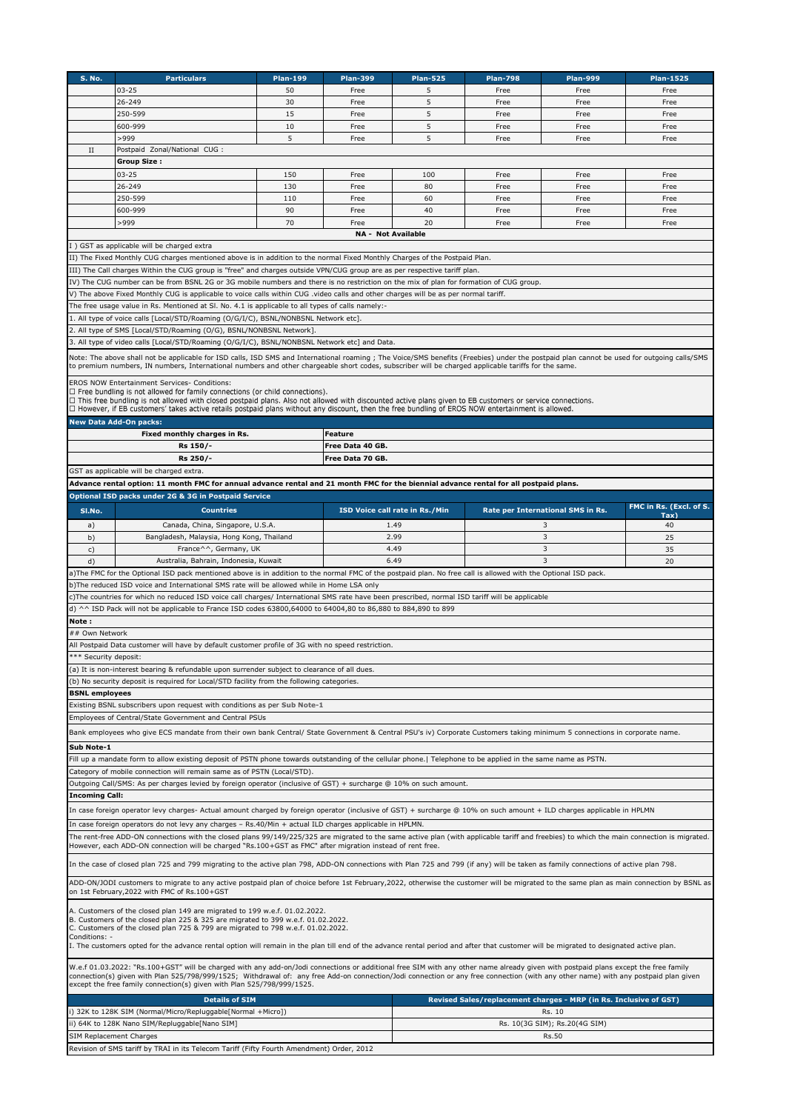| <b>S. No.</b>                                                                                                                                                                                                                             | <b>Particulars</b>                                                                                                                                                                                                                                                                                                                               | <b>Plan-199</b> | <b>Plan-399</b>           | <b>Plan-525</b>                         | <b>Plan-798</b> | <b>Plan-999</b>                                                   | <b>Plan-1525</b>        |  |  |  |  |  |
|-------------------------------------------------------------------------------------------------------------------------------------------------------------------------------------------------------------------------------------------|--------------------------------------------------------------------------------------------------------------------------------------------------------------------------------------------------------------------------------------------------------------------------------------------------------------------------------------------------|-----------------|---------------------------|-----------------------------------------|-----------------|-------------------------------------------------------------------|-------------------------|--|--|--|--|--|
|                                                                                                                                                                                                                                           | $03 - 25$                                                                                                                                                                                                                                                                                                                                        | 50              | Free                      | 5                                       | Free            | Free                                                              | Free                    |  |  |  |  |  |
|                                                                                                                                                                                                                                           | 26-249                                                                                                                                                                                                                                                                                                                                           | 30              | Free                      | 5                                       | Free            | Free                                                              | Free                    |  |  |  |  |  |
|                                                                                                                                                                                                                                           | 250-599                                                                                                                                                                                                                                                                                                                                          | 15              | Free                      | 5                                       | Free            | Free                                                              | Free                    |  |  |  |  |  |
|                                                                                                                                                                                                                                           | 600-999                                                                                                                                                                                                                                                                                                                                          | 10              | Free                      | 5                                       | Free            | Free                                                              | Free                    |  |  |  |  |  |
|                                                                                                                                                                                                                                           | >999                                                                                                                                                                                                                                                                                                                                             | 5               | Free                      | 5                                       | Free            | Free                                                              | Free                    |  |  |  |  |  |
| $_{\rm II}$                                                                                                                                                                                                                               | Postpaid Zonal/National CUG :                                                                                                                                                                                                                                                                                                                    |                 |                           |                                         |                 |                                                                   |                         |  |  |  |  |  |
|                                                                                                                                                                                                                                           | <b>Group Size:</b>                                                                                                                                                                                                                                                                                                                               |                 |                           |                                         |                 |                                                                   |                         |  |  |  |  |  |
|                                                                                                                                                                                                                                           | $03 - 25$                                                                                                                                                                                                                                                                                                                                        | 150             | Free                      | 100                                     | Free            | Free                                                              | Free                    |  |  |  |  |  |
|                                                                                                                                                                                                                                           | 26-249                                                                                                                                                                                                                                                                                                                                           | 130             | Free                      | 80                                      | Free            | Free                                                              | Free                    |  |  |  |  |  |
|                                                                                                                                                                                                                                           | 250-599                                                                                                                                                                                                                                                                                                                                          | 110             | Free                      | 60                                      | Free            | Free                                                              | Free                    |  |  |  |  |  |
|                                                                                                                                                                                                                                           | 600-999                                                                                                                                                                                                                                                                                                                                          | 90              | Free                      | 40                                      | Free            | Free                                                              | Free                    |  |  |  |  |  |
|                                                                                                                                                                                                                                           | >999                                                                                                                                                                                                                                                                                                                                             | 70              | Free                      | 20                                      | Free            | Free                                                              | Free                    |  |  |  |  |  |
|                                                                                                                                                                                                                                           |                                                                                                                                                                                                                                                                                                                                                  |                 | <b>NA - Not Available</b> |                                         |                 |                                                                   |                         |  |  |  |  |  |
|                                                                                                                                                                                                                                           | I) GST as applicable will be charged extra                                                                                                                                                                                                                                                                                                       |                 |                           |                                         |                 |                                                                   |                         |  |  |  |  |  |
| II) The Fixed Monthly CUG charges mentioned above is in addition to the normal Fixed Monthly Charges of the Postpaid Plan.                                                                                                                |                                                                                                                                                                                                                                                                                                                                                  |                 |                           |                                         |                 |                                                                   |                         |  |  |  |  |  |
| III) The Call charges Within the CUG group is "free" and charges outside VPN/CUG group are as per respective tariff plan.                                                                                                                 |                                                                                                                                                                                                                                                                                                                                                  |                 |                           |                                         |                 |                                                                   |                         |  |  |  |  |  |
| IV) The CUG number can be from BSNL 2G or 3G mobile numbers and there is no restriction on the mix of plan for formation of CUG group.                                                                                                    |                                                                                                                                                                                                                                                                                                                                                  |                 |                           |                                         |                 |                                                                   |                         |  |  |  |  |  |
| V) The above Fixed Monthly CUG is applicable to voice calls within CUG .video calls and other charges will be as per normal tariff.                                                                                                       |                                                                                                                                                                                                                                                                                                                                                  |                 |                           |                                         |                 |                                                                   |                         |  |  |  |  |  |
| The free usage value in Rs. Mentioned at Sl. No. 4.1 is applicable to all types of calls namely:-                                                                                                                                         |                                                                                                                                                                                                                                                                                                                                                  |                 |                           |                                         |                 |                                                                   |                         |  |  |  |  |  |
| 1. All type of voice calls [Local/STD/Roaming (O/G/I/C), BSNL/NONBSNL Network etc].<br>2. All type of SMS [Local/STD/Roaming (O/G), BSNL/NONBSNL Network]                                                                                 |                                                                                                                                                                                                                                                                                                                                                  |                 |                           |                                         |                 |                                                                   |                         |  |  |  |  |  |
|                                                                                                                                                                                                                                           | 3. All type of video calls [Local/STD/Roaming (O/G/I/C), BSNL/NONBSNL Network etc] and Data.                                                                                                                                                                                                                                                     |                 |                           |                                         |                 |                                                                   |                         |  |  |  |  |  |
|                                                                                                                                                                                                                                           |                                                                                                                                                                                                                                                                                                                                                  |                 |                           |                                         |                 |                                                                   |                         |  |  |  |  |  |
|                                                                                                                                                                                                                                           | Note: The above shall not be applicable for ISD calls, ISD SMS and International roaming; The Voice/SMS benefits (Freebies) under the postpaid plan cannot be used for outgoing calls/SMS<br>to premium numbers, IN numbers, International numbers and other chargeable short codes, subscriber will be charged applicable tariffs for the same. |                 |                           |                                         |                 |                                                                   |                         |  |  |  |  |  |
|                                                                                                                                                                                                                                           |                                                                                                                                                                                                                                                                                                                                                  |                 |                           |                                         |                 |                                                                   |                         |  |  |  |  |  |
|                                                                                                                                                                                                                                           | EROS NOW Entertainment Services- Conditions:<br>$\Box$ Free bundling is not allowed for family connections (or child connections).                                                                                                                                                                                                               |                 |                           |                                         |                 |                                                                   |                         |  |  |  |  |  |
|                                                                                                                                                                                                                                           | □ This free bundling is not allowed with closed postpaid plans. Also not allowed with discounted active plans given to EB customers or service connections.                                                                                                                                                                                      |                 |                           |                                         |                 |                                                                   |                         |  |  |  |  |  |
|                                                                                                                                                                                                                                           | □ However, if EB customers' takes active retails postpaid plans without any discount, then the free bundling of EROS NOW entertainment is allowed.                                                                                                                                                                                               |                 |                           |                                         |                 |                                                                   |                         |  |  |  |  |  |
|                                                                                                                                                                                                                                           | <b>New Data Add-On packs:</b>                                                                                                                                                                                                                                                                                                                    |                 |                           |                                         |                 |                                                                   |                         |  |  |  |  |  |
|                                                                                                                                                                                                                                           | Fixed monthly charges in Rs.                                                                                                                                                                                                                                                                                                                     |                 | <b>Feature</b>            |                                         |                 |                                                                   |                         |  |  |  |  |  |
|                                                                                                                                                                                                                                           | Rs 150/-                                                                                                                                                                                                                                                                                                                                         |                 | Free Data 40 GB.          |                                         |                 |                                                                   |                         |  |  |  |  |  |
| Rs 250/-<br>Free Data 70 GB.                                                                                                                                                                                                              |                                                                                                                                                                                                                                                                                                                                                  |                 |                           |                                         |                 |                                                                   |                         |  |  |  |  |  |
|                                                                                                                                                                                                                                           | GST as applicable will be charged extra.                                                                                                                                                                                                                                                                                                         |                 |                           |                                         |                 |                                                                   |                         |  |  |  |  |  |
|                                                                                                                                                                                                                                           | Advance rental option: 11 month FMC for annual advance rental and 21 month FMC for the biennial advance rental for all postpaid plans.                                                                                                                                                                                                           |                 |                           |                                         |                 |                                                                   |                         |  |  |  |  |  |
|                                                                                                                                                                                                                                           | Optional ISD packs under 2G & 3G in Postpaid Service                                                                                                                                                                                                                                                                                             |                 |                           |                                         |                 |                                                                   | FMC in Rs. (Excl. of S. |  |  |  |  |  |
| SI.No.                                                                                                                                                                                                                                    | <b>Countries</b>                                                                                                                                                                                                                                                                                                                                 |                 |                           | <b>ISD Voice call rate in Rs./Min</b>   |                 | Rate per International SMS in Rs.                                 | Tax                     |  |  |  |  |  |
| a)                                                                                                                                                                                                                                        | Canada, China, Singapore, U.S.A.                                                                                                                                                                                                                                                                                                                 |                 |                           | 1.49                                    |                 | 3                                                                 | 40                      |  |  |  |  |  |
| b)                                                                                                                                                                                                                                        | Bangladesh, Malaysia, Hong Kong, Thailand                                                                                                                                                                                                                                                                                                        |                 |                           | 2.99                                    |                 | $\overline{3}$                                                    | 25                      |  |  |  |  |  |
| c)                                                                                                                                                                                                                                        | France^^, Germany, UK                                                                                                                                                                                                                                                                                                                            |                 |                           | 4.49                                    |                 | 3                                                                 | 35                      |  |  |  |  |  |
| d)                                                                                                                                                                                                                                        | Australia, Bahrain, Indonesia, Kuwait                                                                                                                                                                                                                                                                                                            |                 |                           | 6.49                                    |                 | 3                                                                 | 20                      |  |  |  |  |  |
|                                                                                                                                                                                                                                           | a) The FMC for the Optional ISD pack mentioned above is in addition to the normal FMC of the postpaid plan. No free call is allowed with the Optional ISD pack.                                                                                                                                                                                  |                 |                           |                                         |                 |                                                                   |                         |  |  |  |  |  |
|                                                                                                                                                                                                                                           | b) The reduced ISD voice and International SMS rate will be allowed while in Home LSA only                                                                                                                                                                                                                                                       |                 |                           |                                         |                 |                                                                   |                         |  |  |  |  |  |
|                                                                                                                                                                                                                                           | c) The countries for which no reduced ISD voice call charges/ International SMS rate have been prescribed, normal ISD tariff will be applicable                                                                                                                                                                                                  |                 |                           |                                         |                 |                                                                   |                         |  |  |  |  |  |
|                                                                                                                                                                                                                                           | d) ^^ ISD Pack will not be applicable to France ISD codes 63800,64000 to 64004,80 to 86,880 to 884,890 to 899                                                                                                                                                                                                                                    |                 |                           |                                         |                 |                                                                   |                         |  |  |  |  |  |
| Note:                                                                                                                                                                                                                                     |                                                                                                                                                                                                                                                                                                                                                  |                 |                           |                                         |                 |                                                                   |                         |  |  |  |  |  |
| ## Own Network                                                                                                                                                                                                                            |                                                                                                                                                                                                                                                                                                                                                  |                 |                           |                                         |                 |                                                                   |                         |  |  |  |  |  |
|                                                                                                                                                                                                                                           | All Postpaid Data customer will have by default customer profile of 3G with no speed restriction.                                                                                                                                                                                                                                                |                 |                           |                                         |                 |                                                                   |                         |  |  |  |  |  |
| *** Security deposit:                                                                                                                                                                                                                     |                                                                                                                                                                                                                                                                                                                                                  |                 |                           |                                         |                 |                                                                   |                         |  |  |  |  |  |
|                                                                                                                                                                                                                                           | (a) It is non-interest bearing & refundable upon surrender subject to clearance of all dues.<br>(b) No security deposit is required for Local/STD facility from the following categories.                                                                                                                                                        |                 |                           |                                         |                 |                                                                   |                         |  |  |  |  |  |
| <b>BSNL</b> employees                                                                                                                                                                                                                     |                                                                                                                                                                                                                                                                                                                                                  |                 |                           |                                         |                 |                                                                   |                         |  |  |  |  |  |
|                                                                                                                                                                                                                                           | Existing BSNL subscribers upon request with conditions as per Sub Note-1                                                                                                                                                                                                                                                                         |                 |                           |                                         |                 |                                                                   |                         |  |  |  |  |  |
|                                                                                                                                                                                                                                           | Employees of Central/State Government and Central PSUs                                                                                                                                                                                                                                                                                           |                 |                           |                                         |                 |                                                                   |                         |  |  |  |  |  |
|                                                                                                                                                                                                                                           |                                                                                                                                                                                                                                                                                                                                                  |                 |                           |                                         |                 |                                                                   |                         |  |  |  |  |  |
|                                                                                                                                                                                                                                           | Bank employees who give ECS mandate from their own bank Central/ State Government & Central PSU's iv) Corporate Customers taking minimum 5 connections in corporate name.                                                                                                                                                                        |                 |                           |                                         |                 |                                                                   |                         |  |  |  |  |  |
| Sub Note-1                                                                                                                                                                                                                                |                                                                                                                                                                                                                                                                                                                                                  |                 |                           |                                         |                 |                                                                   |                         |  |  |  |  |  |
|                                                                                                                                                                                                                                           | Fill up a mandate form to allow existing deposit of PSTN phone towards outstanding of the cellular phone.   Telephone to be applied in the same name as PSTN.                                                                                                                                                                                    |                 |                           |                                         |                 |                                                                   |                         |  |  |  |  |  |
| Category of mobile connection will remain same as of PSTN (Local/STD).                                                                                                                                                                    |                                                                                                                                                                                                                                                                                                                                                  |                 |                           |                                         |                 |                                                                   |                         |  |  |  |  |  |
| Outgoing Call/SMS: As per charges levied by foreign operator (inclusive of GST) + surcharge @ 10% on such amount.                                                                                                                         |                                                                                                                                                                                                                                                                                                                                                  |                 |                           |                                         |                 |                                                                   |                         |  |  |  |  |  |
| <b>Incoming Call:</b>                                                                                                                                                                                                                     |                                                                                                                                                                                                                                                                                                                                                  |                 |                           |                                         |                 |                                                                   |                         |  |  |  |  |  |
| In case foreign operator levy charges- Actual amount charged by foreign operator (inclusive of GST) + surcharge @ 10% on such amount + ILD charges applicable in HPLMN                                                                    |                                                                                                                                                                                                                                                                                                                                                  |                 |                           |                                         |                 |                                                                   |                         |  |  |  |  |  |
|                                                                                                                                                                                                                                           | In case foreign operators do not levy any charges - Rs.40/Min + actual ILD charges applicable in HPLMN.                                                                                                                                                                                                                                          |                 |                           |                                         |                 |                                                                   |                         |  |  |  |  |  |
|                                                                                                                                                                                                                                           | The rent-free ADD-ON connections with the closed plans 99/149/225/325 are migrated to the same active plan (with applicable tariff and freebies) to which the main connection is migrated.                                                                                                                                                       |                 |                           |                                         |                 |                                                                   |                         |  |  |  |  |  |
|                                                                                                                                                                                                                                           | However, each ADD-ON connection will be charged "Rs.100+GST as FMC" after migration instead of rent free.                                                                                                                                                                                                                                        |                 |                           |                                         |                 |                                                                   |                         |  |  |  |  |  |
|                                                                                                                                                                                                                                           | In the case of closed plan 725 and 799 migrating to the active plan 798, ADD-ON connections with Plan 725 and 799 (if any) will be taken as family connections of active plan 798.                                                                                                                                                               |                 |                           |                                         |                 |                                                                   |                         |  |  |  |  |  |
|                                                                                                                                                                                                                                           |                                                                                                                                                                                                                                                                                                                                                  |                 |                           |                                         |                 |                                                                   |                         |  |  |  |  |  |
| ADD-ON/JODI customers to migrate to any active postpaid plan of choice before 1st February, 2022, otherwise the customer will be migrated to the same plan as main connection by BSNL as<br>on 1st February, 2022 with FMC of Rs. 100+GST |                                                                                                                                                                                                                                                                                                                                                  |                 |                           |                                         |                 |                                                                   |                         |  |  |  |  |  |
|                                                                                                                                                                                                                                           |                                                                                                                                                                                                                                                                                                                                                  |                 |                           |                                         |                 |                                                                   |                         |  |  |  |  |  |
| A. Customers of the closed plan 149 are migrated to 199 w.e.f. 01.02.2022.<br>B. Customers of the closed plan 225 & 325 are migrated to 399 w.e.f. 01.02.2022.                                                                            |                                                                                                                                                                                                                                                                                                                                                  |                 |                           |                                         |                 |                                                                   |                         |  |  |  |  |  |
|                                                                                                                                                                                                                                           | C. Customers of the closed plan 725 & 799 are migrated to 798 w.e.f. 01.02.2022.                                                                                                                                                                                                                                                                 |                 |                           |                                         |                 |                                                                   |                         |  |  |  |  |  |
| Conditions: -                                                                                                                                                                                                                             |                                                                                                                                                                                                                                                                                                                                                  |                 |                           |                                         |                 |                                                                   |                         |  |  |  |  |  |
|                                                                                                                                                                                                                                           | I. The customers opted for the advance rental option will remain in the plan till end of the advance rental period and after that customer will be migrated to designated active plan.                                                                                                                                                           |                 |                           |                                         |                 |                                                                   |                         |  |  |  |  |  |
|                                                                                                                                                                                                                                           | W.e.f 01.03.2022: "Rs.100+GST" will be charged with any add-on/Jodi connections or additional free SIM with any other name already given with postpaid plans except the free family                                                                                                                                                              |                 |                           |                                         |                 |                                                                   |                         |  |  |  |  |  |
|                                                                                                                                                                                                                                           | connection(s) given with Plan 525/798/999/1525; Withdrawal of: any free Add-on connection/Jodi connection or any free connection (with any other name) with any postpaid plan given                                                                                                                                                              |                 |                           |                                         |                 |                                                                   |                         |  |  |  |  |  |
|                                                                                                                                                                                                                                           | except the free family connection(s) given with Plan 525/798/999/1525.                                                                                                                                                                                                                                                                           |                 |                           |                                         |                 |                                                                   |                         |  |  |  |  |  |
|                                                                                                                                                                                                                                           | <b>Details of SIM</b>                                                                                                                                                                                                                                                                                                                            |                 |                           |                                         |                 | Revised Sales/replacement charges - MRP (in Rs. Inclusive of GST) |                         |  |  |  |  |  |
|                                                                                                                                                                                                                                           | i) 32K to 128K SIM (Normal/Micro/Repluggable[Normal +Micro])                                                                                                                                                                                                                                                                                     |                 |                           | Rs. 10<br>Rs. 10(3G SIM); Rs.20(4G SIM) |                 |                                                                   |                         |  |  |  |  |  |
|                                                                                                                                                                                                                                           | ii) 64K to 128K Nano SIM/Repluggable[Nano SIM]                                                                                                                                                                                                                                                                                                   |                 |                           |                                         |                 |                                                                   |                         |  |  |  |  |  |
| SIM Replacement Charges                                                                                                                                                                                                                   |                                                                                                                                                                                                                                                                                                                                                  |                 |                           |                                         |                 | Rs.50                                                             |                         |  |  |  |  |  |
|                                                                                                                                                                                                                                           | Revision of SMS tariff by TRAI in its Telecom Tariff (Fifty Fourth Amendment) Order, 2012                                                                                                                                                                                                                                                        |                 |                           |                                         |                 |                                                                   |                         |  |  |  |  |  |